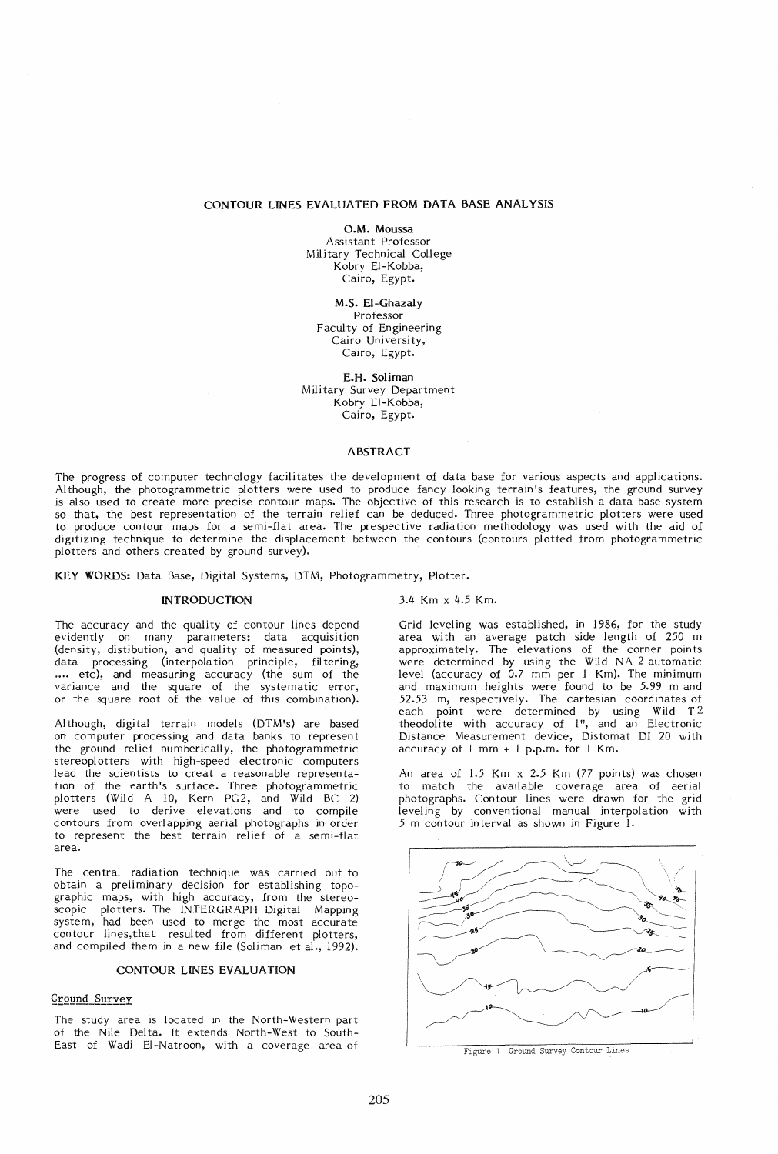#### CONTOUR LINES EVALUATED FROM DATA BASE ANALYSIS

O.M. Moussa Assistant Professor Military Technical College Kobry EI-Kobba, Cairo, Egypt.

M.S. El-Ghazaly Professor Faculty of Engineering Cairo University, Cairo, Egypt.

E.H. Soliman Military Survey Department Kobry EI-Kobba, Cairo, Egypt.

#### ABSTRACT

The progress of computer technology facilitates the development of data base for various aspects and applications. Although, the photogrammetric plotters were used to produce fancy looking terrain's features, the ground survey is also used to create more precise contour maps. The objective of this research is to establish a data base system so that, the best representation of the terrain relief can be deduced. Three photogrammetric plotters were used to produce contour maps for a semi-flat area. The prespective radiation methodology was used with the aid of digitizing technique to determine the displacement between the contours (contours plotted from photogrammetric plotters and others created by ground survey).

KEY WORDS: Data Base, Digital Systems, DTM, Photogrammetry, Plotter.

# INTRODUCTION

The accuracy and the quality of contour lines depend evidently on many parameters: data acquisition (density, distibution, and quality of measured points), data processing (interpolation principle, filtering, .... etc), and measuring accuracy (the sum of the variance and the square of the systematic error, or the square root of the value of this combination).

Al though, digital terrain models (DTM's) are based on computer processing and data banks to represent the ground relief numberically, the photogrammetric stereoplotters with high-speed electronic computers lead the scientists to creat a reasonable representation of the earth's surface. Three photogrammetric plotters (Wild A 10, Kern PG2, and Wild BC 2) were used to derive elevations and to compile contours from overlapping aerial photographs in order to represent the best terrain relief of a semi-flat area.

The central radiation technique was carried out to obtain a preliminary decision for establishing topographic maps, with high accuracy, from the stereoscopic plotters. The INTERGRAPH Digital Mapping system, had been used to merge the most accurate contour lines,that resulted from different plotters, and compiled them in a new file (Soliman et al., 1992).

#### CONTOUR LINES EVALUATION

# Ground Survey

The study area is located in the North-Western part of the Nile Delta. It extends North-West to South-East of Wadi EI-Natroon, with a coverage area of 3.4 Km x 4.5 Km.

Grid leveling was established, in 1986, for the study area with an average patch side length of 250 m approximately. The elevations of the corner points were determined by using the Wild NA 2 automatic level (accuracy of 0.7 mm per 1 Km). The minimum and maximum heights were found to be 5.99 m and 52.53 m, respectively. The cartesian coordinates of each point were determined by using Wild  $T^2$ theodolite with accuracy of 1", and an Electronic Distance Measurement device, Distomat DI 20 with accuracy of 1 mm + 1 p.p.m. for 1 Km.

An area of 1.5 Km x 2.5 Km (77 points) was chosen to match the available coverage area of aerial photographs. Contour lines were drawn for the grid leveling by conventional manual interpolation with 5 m contour interval as shown in Figure 1.



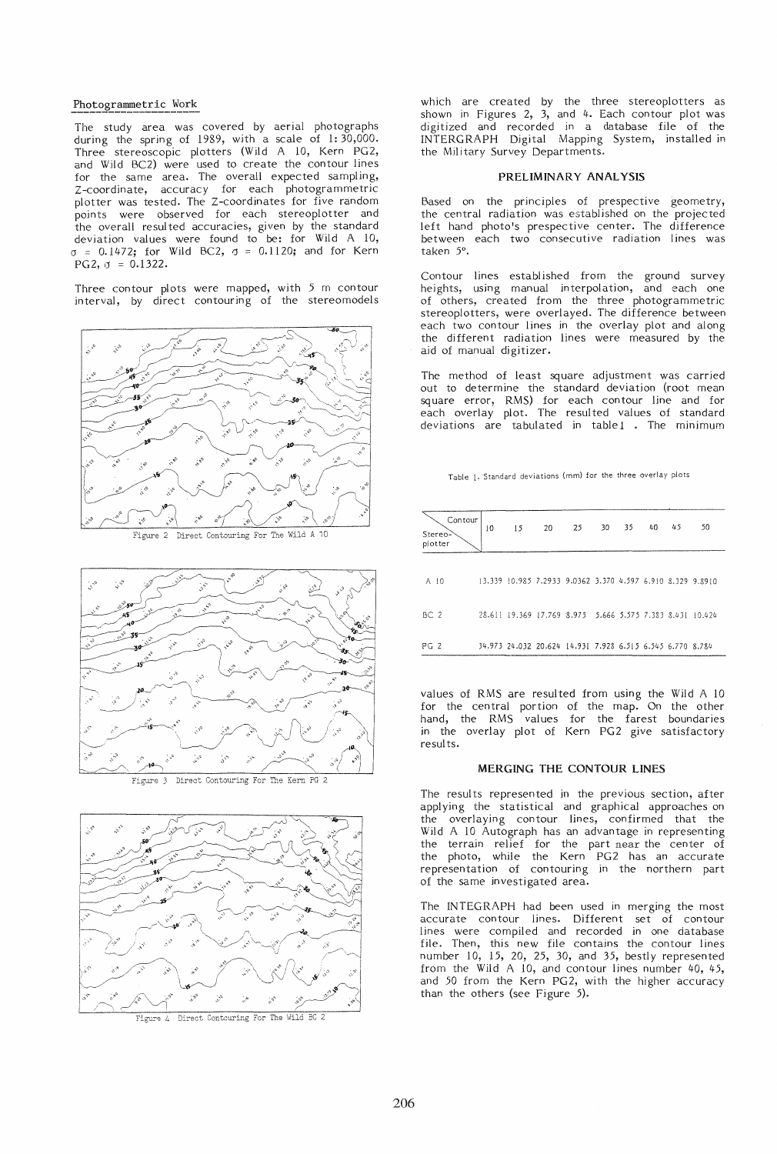### Photogrammetric Work

The study area was covered by aerial photographs during the spring of 1989, with a scale of 1:30,000. Three stereoscopic plotters (Wild A 10, Kern PG2, and Wild BC2) were used to create the contour lines for the same area. The overall expected sampling, Z-coordinate, accuracy for each photogrammetric plotter was tested. The Z-coordinates for five random points were observed for each stereoplotter and the overall resulted accuracies, given by the standard deviation values were found to be: for Wild A 10,  $\sigma = 0.1472$ ; for Wild BC2,  $\sigma = 0.1120$ ; and for Kern PG2,  $\sigma = 0.1322$ .

Three contour plots were mapped, with 5 m contour interval, by direct contouring of the stereomodels



Figure 2 Direct Contouring For The Wild A 10



Figure 3 Direct Contouring For The Kern PG 2



which are created by the three stereoplotters as shown in Figures 2, 3, and 4. Each contour plot was digitized and recorded in a database file of the INTERGRAPH Digital Mapping System, installed in the Military Survey Departments.

#### PRELIMINARY ANALYSIS

Based on the principles of prespective geometry, the central radiation was established on the projected left hand photo's prespective center. The difference between each two consecutive radiation lines was taken 5°.

Contour lines established from the ground survey heights, using manual interpolation, and each one of others, created from the three photogrammetric stereoplotters, were overlayed. The difference between each two contour lines in the overlay plot and along the different radiation lines were measured by the aid of manual digitizer.

The method of least square adjustment was carried out to determine the standard deviation (root mean square error, RMS) for each contour line and for each overlay plot. The resulted values of standard deviations are tabulated in table1 . The minimum

Table 1. Standard deviations (mm) for the three overlay plots

| Contour<br>Stereo-<br>plotter | 10 | 15 | 20 | 25                                                         | 30 | 35 | 40 | 45 | 50 |
|-------------------------------|----|----|----|------------------------------------------------------------|----|----|----|----|----|
| A 10                          |    |    |    | 13.339 10.985 7.2933 9.0362 3.370 4.597 6.910 8.329 9.8910 |    |    |    |    |    |
| BC <sub>2</sub>               |    |    |    | 28.611 19.369 17.769 8.975 5.666 5.575 7.383 8.431 10.424  |    |    |    |    |    |
| PG 2                          |    |    |    | 34.973 24.032 20.624 14.931 7.928 6.515 6.545 6.770 8.784  |    |    |    |    |    |

values of RMS are resulted from using the Wild A 10 for the central portion of the map. On the other hand, the RMS values for the farest boundaries in the overlay plot of Kern PG2 give satisfactory results.

#### MERGING THE CONTOUR LINES

The results represented in the previous section, after applying the statistical and graphical approaches on the overlaying contour lines, confirmed that the Wild A 10 Autograph has an advantage in representing the terrain relief for the part near the center of the photo, while the Kern PG2 has an accurate representation of contouring in the northern part of the same investigated area.

The INTEGRAPH had been used in merging the most accurate contour lines. Different set of contour lines were compiled and recorded in one database file. Then, this new file contains the contour lines number 10, 15, 20, 25, 30, and 35, bestly represented from the Wild A 10, and contour lines number 40, 45, and 50 from the Kern PG2, with the higher accuracy than the others (see Figure 5).